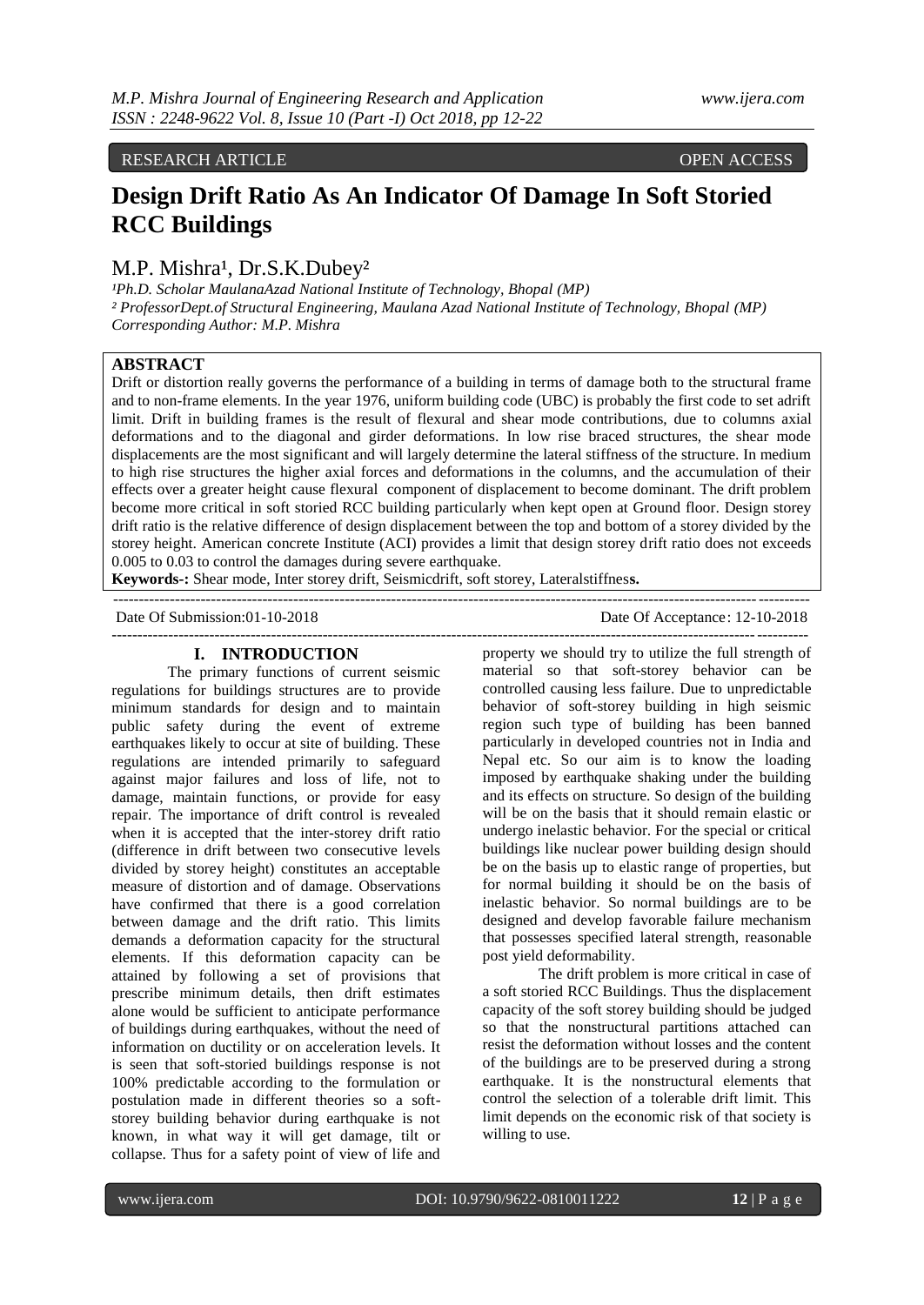## RESEARCH ARTICLE **CONSERVANCE OPEN ACCESS**

# **Design Drift Ratio As An Indicator Of Damage In Soft Storied RCC Buildings**

# M.P. Mishra<sup>1</sup>, Dr.S.K.Dubey<sup>2</sup>

<sup>1</sup>Ph.D. Scholar MaulanaAzad National Institute of Technology, Bhopal (MP) *² ProfessorDept.of Structural Engineering, Maulana Azad National Institute of Technology, Bhopal (MP) Corresponding Author: M.P. Mishra*

# **ABSTRACT**

Drift or distortion really governs the performance of a building in terms of damage both to the structural frame and to non-frame elements. In the year 1976, uniform building code (UBC) is probably the first code to set adrift limit. Drift in building frames is the result of flexural and shear mode contributions, due to columns axial deformations and to the diagonal and girder deformations. In low rise braced structures, the shear mode displacements are the most significant and will largely determine the lateral stiffness of the structure. In medium to high rise structures the higher axial forces and deformations in the columns, and the accumulation of their effects over a greater height cause flexural component of displacement to become dominant. The drift problem become more critical in soft storied RCC building particularly when kept open at Ground floor. Design storey drift ratio is the relative difference of design displacement between the top and bottom of a storey divided by the storey height. American concrete Institute (ACI) provides a limit that design storey drift ratio does not exceeds 0.005 to 0.03 to control the damages during severe earthquake.

---------------------------------------------------------------------------------------------------------------------------------------

**Keywords-:** Shear mode, Inter storey drift, Seismicdrift, soft storey, Lateralstiffnes**s.** 

Date Of Submission:01-10-2018 Date Of Acceptance: 12-10-2018 ---------------------------------------------------------------------------------------------------------------------------------------

#### **I. INTRODUCTION**

The primary functions of current seismic regulations for buildings structures are to provide minimum standards for design and to maintain public safety during the event of extreme earthquakes likely to occur at site of building. These regulations are intended primarily to safeguard against major failures and loss of life, not to damage, maintain functions, or provide for easy repair. The importance of drift control is revealed when it is accepted that the inter-storey drift ratio (difference in drift between two consecutive levels divided by storey height) constitutes an acceptable measure of distortion and of damage. Observations have confirmed that there is a good correlation between damage and the drift ratio. This limits demands a deformation capacity for the structural elements. If this deformation capacity can be attained by following a set of provisions that prescribe minimum details, then drift estimates alone would be sufficient to anticipate performance of buildings during earthquakes, without the need of information on ductility or on acceleration levels. It is seen that soft-storied buildings response is not 100% predictable according to the formulation or postulation made in different theories so a softstorey building behavior during earthquake is not known, in what way it will get damage, tilt or collapse. Thus for a safety point of view of life and

property we should try to utilize the full strength of material so that soft-storey behavior can be controlled causing less failure. Due to unpredictable behavior of soft-storey building in high seismic region such type of building has been banned particularly in developed countries not in India and Nepal etc. So our aim is to know the loading imposed by earthquake shaking under the building and its effects on structure. So design of the building will be on the basis that it should remain elastic or undergo inelastic behavior. For the special or critical buildings like nuclear power building design should be on the basis up to elastic range of properties, but for normal building it should be on the basis of inelastic behavior. So normal buildings are to be designed and develop favorable failure mechanism that possesses specified lateral strength, reasonable post yield deformability.

The drift problem is more critical in case of a soft storied RCC Buildings. Thus the displacement capacity of the soft storey building should be judged so that the nonstructural partitions attached can resist the deformation without losses and the content of the buildings are to be preserved during a strong earthquake. It is the nonstructural elements that control the selection of a tolerable drift limit. This limit depends on the economic risk of that society is willing to use.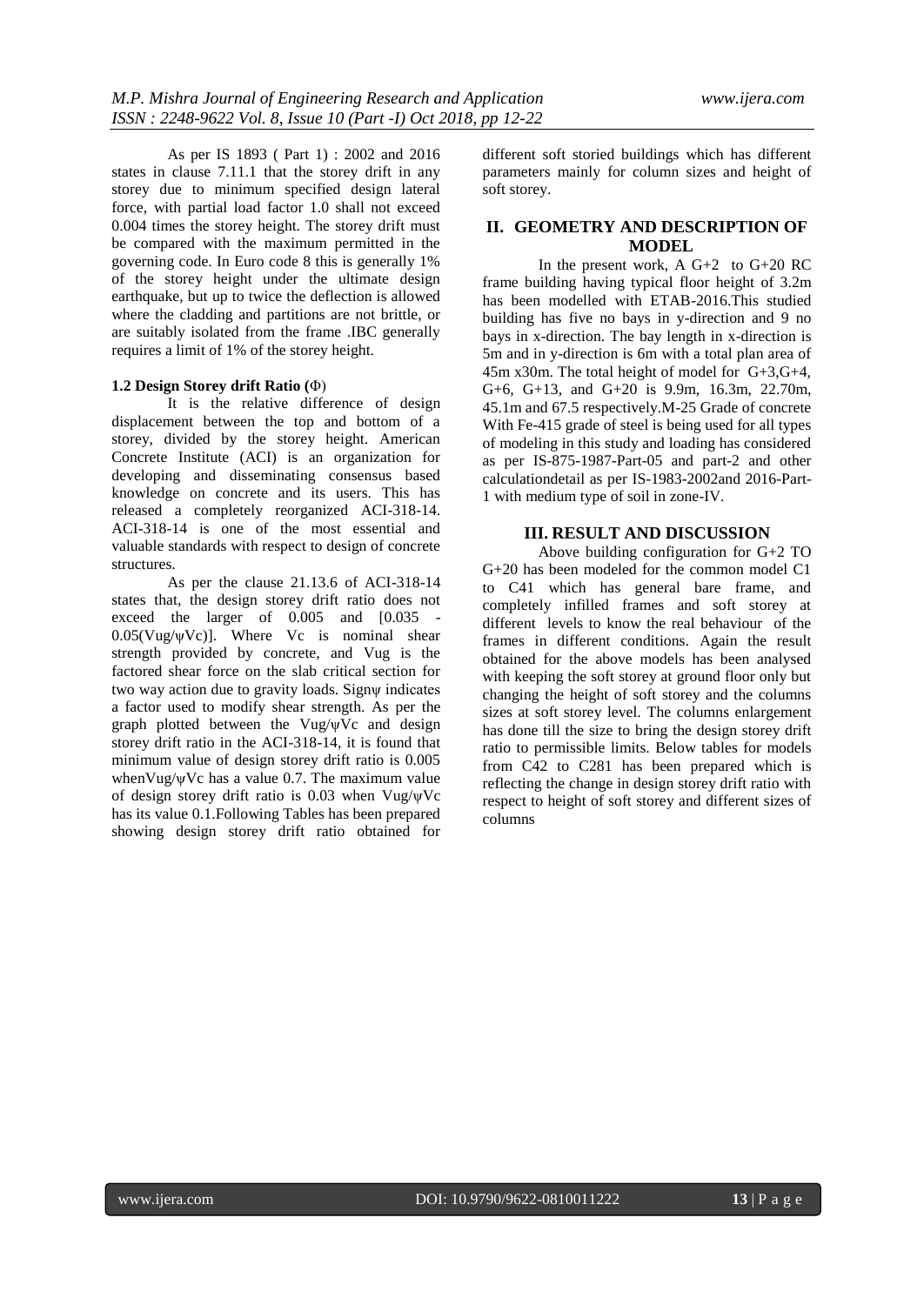As per IS 1893 ( Part 1) : 2002 and 2016 states in clause 7.11.1 that the storey drift in any storey due to minimum specified design lateral force, with partial load factor 1.0 shall not exceed 0.004 times the storey height. The storey drift must be compared with the maximum permitted in the governing code. In Euro code 8 this is generally 1% of the storey height under the ultimate design earthquake, but up to twice the deflection is allowed where the cladding and partitions are not brittle, or are suitably isolated from the frame .IBC generally requires a limit of 1% of the storey height.

#### **1.2 Design Storey drift Ratio (**Φ)

It is the relative difference of design displacement between the top and bottom of a storey, divided by the storey height. American Concrete Institute (ACI) is an organization for developing and disseminating consensus based knowledge on concrete and its users. This has released a completely reorganized ACI-318-14. ACI-318-14 is one of the most essential and valuable standards with respect to design of concrete structures.

As per the clause 21.13.6 of ACI-318-14 states that, the design storey drift ratio does not exceed the larger of 0.005 and [0.035 -  $0.05$ (Vug/ $\psi$ Vc)]. Where Vc is nominal shear strength provided by concrete, and Vug is the factored shear force on the slab critical section for two way action due to gravity loads. Signψ indicates a factor used to modify shear strength. As per the graph plotted between the Vug/ $\psi$ Vc and design storey drift ratio in the ACI-318-14, it is found that minimum value of design storey drift ratio is 0.005 whenVug/ψVc has a value 0.7. The maximum value of design storey drift ratio is 0.03 when Vug/ψVc has its value 0.1.Following Tables has been prepared showing design storey drift ratio obtained for

different soft storied buildings which has different parameters mainly for column sizes and height of soft storey.

## **II. GEOMETRY AND DESCRIPTION OF MODEL**

In the present work, A  $G+2$  to  $G+20$  RC frame building having typical floor height of 3.2m has been modelled with ETAB-2016.This studied building has five no bays in y-direction and 9 no bays in x-direction. The bay length in x-direction is 5m and in y-direction is 6m with a total plan area of 45m x30m. The total height of model for G+3,G+4, G+6, G+13, and G+20 is 9.9m, 16.3m, 22.70m, 45.1m and 67.5 respectively.M-25 Grade of concrete With Fe-415 grade of steel is being used for all types of modeling in this study and loading has considered as per IS-875-1987-Part-05 and part-2 and other calculationdetail as per IS-1983-2002and 2016-Part-1 with medium type of soil in zone-IV.

#### **III. RESULT AND DISCUSSION**

Above building configuration for G+2 TO G+20 has been modeled for the common model C1 to C41 which has general bare frame, and completely infilled frames and soft storey at different levels to know the real behaviour of the frames in different conditions. Again the result obtained for the above models has been analysed with keeping the soft storey at ground floor only but changing the height of soft storey and the columns sizes at soft storey level. The columns enlargement has done till the size to bring the design storey drift ratio to permissible limits. Below tables for models from C42 to C281 has been prepared which is reflecting the change in design storey drift ratio with respect to height of soft storey and different sizes of columns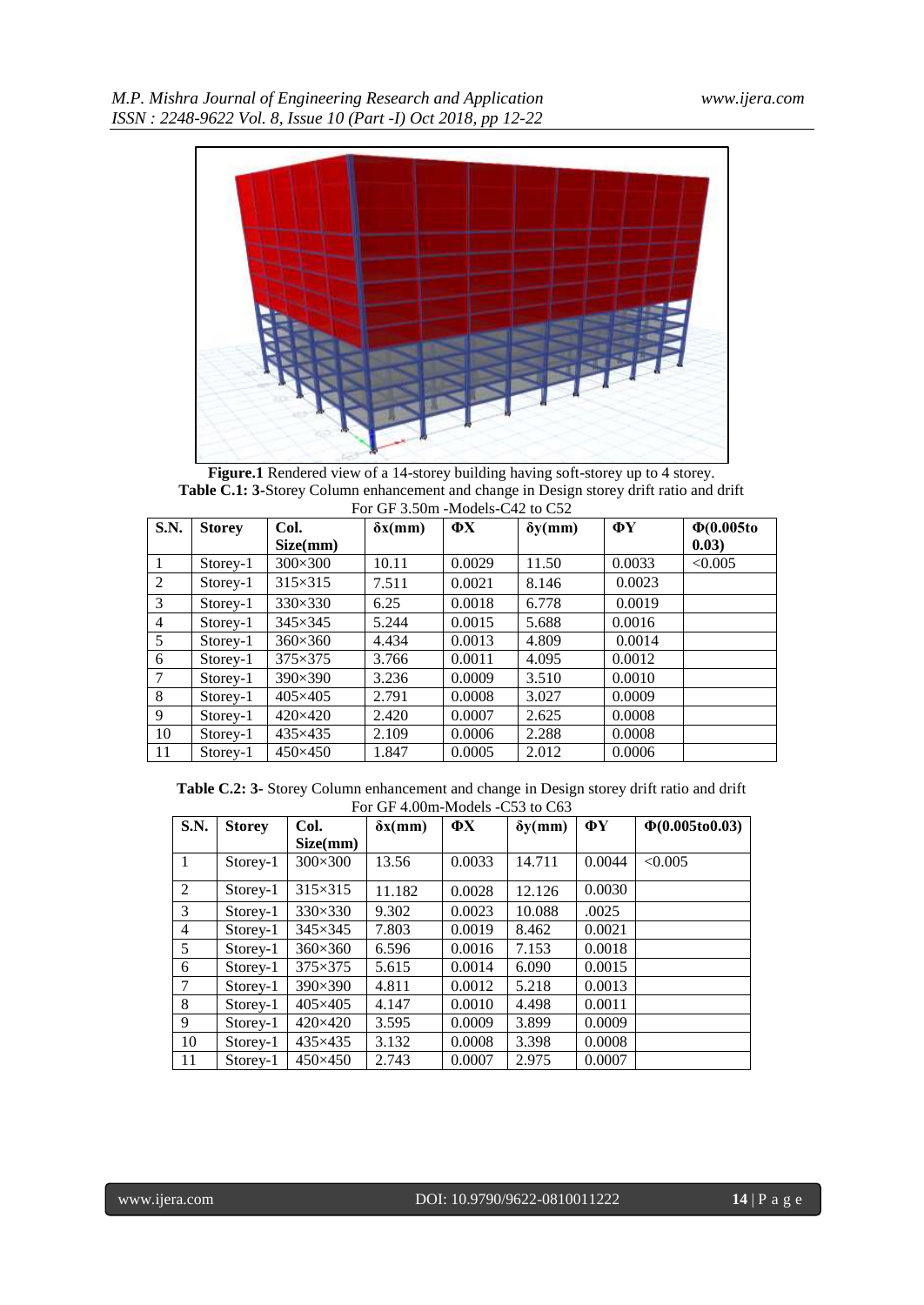

**Figure.1** Rendered view of a 14-storey building having soft-storey up to 4 storey. **Table C.1: 3-**Storey Column enhancement and change in Design storey drift ratio and drift For GF 3.50m -Models-C42 to C52

| <b>S.N.</b>    | <b>Storey</b> | Col.            | $\delta x$ (mm) | $\Phi$ X | $\delta y$ (mm) | ФY     | $\Phi(0.005t)$ |
|----------------|---------------|-----------------|-----------------|----------|-----------------|--------|----------------|
|                |               | Size(mm)        |                 |          |                 |        | 0.03)          |
| -1             | Storey-1      | $300\times300$  | 10.11           | 0.0029   | 11.50           | 0.0033 | < 0.005        |
| 2              | Storey-1      | $315\times315$  | 7.511           | 0.0021   | 8.146           | 0.0023 |                |
| 3              | Storey-1      | 330×330         | 6.25            | 0.0018   | 6.778           | 0.0019 |                |
| $\overline{4}$ | Storey-1      | $345\times345$  | 5.244           | 0.0015   | 5.688           | 0.0016 |                |
| 5              | Storey-1      | $360\times360$  | 4.434           | 0.0013   | 4.809           | 0.0014 |                |
| 6              | Storey-1      | $375\times375$  | 3.766           | 0.0011   | 4.095           | 0.0012 |                |
| $\overline{7}$ | Storey-1      | $390\times390$  | 3.236           | 0.0009   | 3.510           | 0.0010 |                |
| 8              | Storey-1      | $405\times405$  | 2.791           | 0.0008   | 3.027           | 0.0009 |                |
| 9              | Storey-1      | $420\times 420$ | 2.420           | 0.0007   | 2.625           | 0.0008 |                |
| 10             | Storey-1      | $435\times435$  | 2.109           | 0.0006   | 2.288           | 0.0008 |                |
| 11             | Storey-1      | $450\times450$  | 1.847           | 0.0005   | 2.012           | 0.0006 |                |

**Table C.2: 3-** Storey Column enhancement and change in Design storey drift ratio and drift For GF 4.00m-Models -C53 to C63

| S.N.           | <b>Storey</b> | Col.            | $\delta x$ (mm) | ФX     | $\delta y$ (mm) | ΦY     | $\Phi(0.005 to 0.03)$ |
|----------------|---------------|-----------------|-----------------|--------|-----------------|--------|-----------------------|
|                |               | Size(mm)        |                 |        |                 |        |                       |
| 1              | Storey-1      | $300\times300$  | 13.56           | 0.0033 | 14.711          | 0.0044 | < 0.005               |
| 2              | Storey-1      | $315\times315$  | 11.182          | 0.0028 | 12.126          | 0.0030 |                       |
| 3              | Storey-1      | $330\times330$  | 9.302           | 0.0023 | 10.088          | .0025  |                       |
| $\overline{4}$ | Storey-1      | $345\times345$  | 7.803           | 0.0019 | 8.462           | 0.0021 |                       |
| 5              | Storey-1      | $360\times360$  | 6.596           | 0.0016 | 7.153           | 0.0018 |                       |
| 6              | Storey-1      | $375\times375$  | 5.615           | 0.0014 | 6.090           | 0.0015 |                       |
| 7              | Storey-1      | $390\times390$  | 4.811           | 0.0012 | 5.218           | 0.0013 |                       |
| 8              | Storey-1      | $405\times405$  | 4.147           | 0.0010 | 4.498           | 0.0011 |                       |
| 9              | Storey-1      | $420\times 420$ | 3.595           | 0.0009 | 3.899           | 0.0009 |                       |
| 10             | Storey-1      | 435×435         | 3.132           | 0.0008 | 3.398           | 0.0008 |                       |
| 11             | Storey-1      | $450\times450$  | 2.743           | 0.0007 | 2.975           | 0.0007 |                       |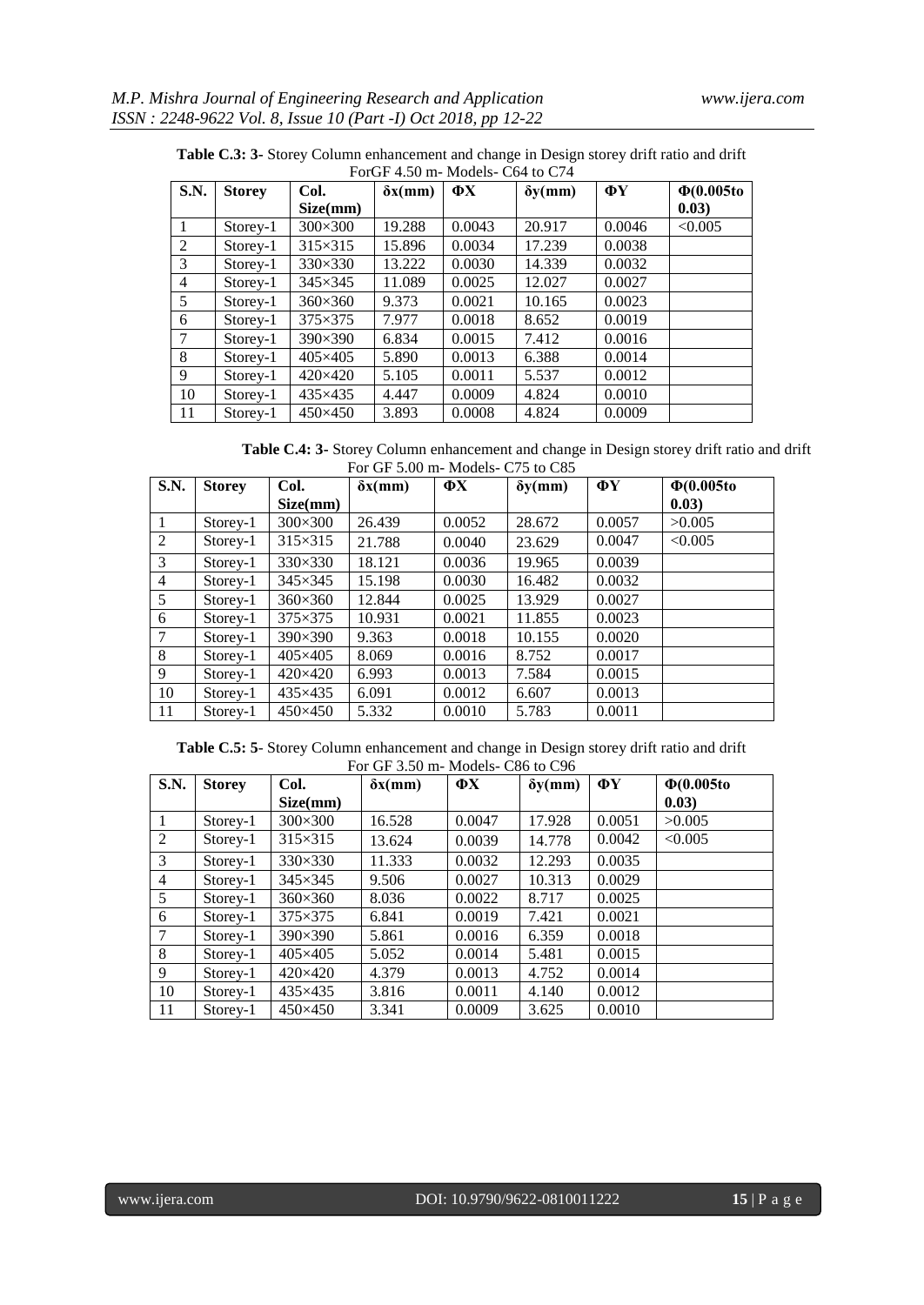| S.N.   | <b>Storey</b> | Col.           | $\delta x$ (mm) | $\Phi$ X | $\delta y$ (mm) | $\Phi$ Y | $\Phi(0.005$ to |
|--------|---------------|----------------|-----------------|----------|-----------------|----------|-----------------|
|        |               | Size(mm)       |                 |          |                 |          | (0.03)          |
| 1      | Storey-1      | $300\times300$ | 19.288          | 0.0043   | 20.917          | 0.0046   | < 0.005         |
| 2      | Storey-1      | 315×315        | 15.896          | 0.0034   | 17.239          | 0.0038   |                 |
| 3      | $Storey-1$    | $330\times330$ | 13.222          | 0.0030   | 14.339          | 0.0032   |                 |
| 4      | Storey-1      | $345\times345$ | 11.089          | 0.0025   | 12.027          | 0.0027   |                 |
| 5      | Storey-1      | $360\times360$ | 9.373           | 0.0021   | 10.165          | 0.0023   |                 |
| 6      | $Storey-1$    | 375×375        | 7.977           | 0.0018   | 8.652           | 0.0019   |                 |
| $\tau$ | $Storey-1$    | 390×390        | 6.834           | 0.0015   | 7.412           | 0.0016   |                 |
| 8      | Storey-1      | 405×405        | 5.890           | 0.0013   | 6.388           | 0.0014   |                 |
| 9      | $Storey-1$    | 420×420        | 5.105           | 0.0011   | 5.537           | 0.0012   |                 |
| 10     | Storey-1      | 435×435        | 4.447           | 0.0009   | 4.824           | 0.0010   |                 |
| 11     | Storey-1      | 450×450        | 3.893           | 0.0008   | 4.824           | 0.0009   |                 |

**Table C.3: 3-** Storey Column enhancement and change in Design storey drift ratio and drift ForGF 4.50 m- Models- C64 to C74

**Table C.4: 3-** Storey Column enhancement and change in Design storey drift ratio and drift For GF 5.00 m- Models- C75 to C85

| <b>S.N.</b>    | <b>Storey</b> | Col.            | $\delta x$ (mm) | ФX     | $\delta y$ (mm) | ФY     | $\Phi(0.005$ to |
|----------------|---------------|-----------------|-----------------|--------|-----------------|--------|-----------------|
|                |               | Size(mm)        |                 |        |                 |        | 0.03)           |
| $\mathbf{1}$   | Storey-1      | $300\times300$  | 26.439          | 0.0052 | 28.672          | 0.0057 | >0.005          |
| $\overline{2}$ | Storey-1      | $315\times315$  | 21.788          | 0.0040 | 23.629          | 0.0047 | < 0.005         |
| 3              | Storey-1      | $330\times330$  | 18.121          | 0.0036 | 19.965          | 0.0039 |                 |
| $\overline{4}$ | Storey-1      | $345\times345$  | 15.198          | 0.0030 | 16.482          | 0.0032 |                 |
| 5              | $Storey-1$    | $360\times360$  | 12.844          | 0.0025 | 13.929          | 0.0027 |                 |
| 6              | Storey-1      | 375×375         | 10.931          | 0.0021 | 11.855          | 0.0023 |                 |
| 7              | $Storey-1$    | $390\times390$  | 9.363           | 0.0018 | 10.155          | 0.0020 |                 |
| 8              | Storey-1      | $405\times405$  | 8.069           | 0.0016 | 8.752           | 0.0017 |                 |
| 9              | Storey-1      | $420\times 420$ | 6.993           | 0.0013 | 7.584           | 0.0015 |                 |
| 10             | $Storey-1$    | 435×435         | 6.091           | 0.0012 | 6.607           | 0.0013 |                 |
| 11             | Storey-1      | 450×450         | 5.332           | 0.0010 | 5.783           | 0.0011 |                 |

**Table C.5: 5**- Storey Column enhancement and change in Design storey drift ratio and drift For GF 3.50 m- Models- C86 to C96

| S.N.           | <b>Storey</b> | Col.           | $\delta x$ (mm) | $\mathbf{\Phi} \mathbf{X}$ | $\delta y$ (mm) | $\Phi$ Y | $\Phi(0.005t)$ |
|----------------|---------------|----------------|-----------------|----------------------------|-----------------|----------|----------------|
|                |               | Size(mm)       |                 |                            |                 |          | 0.03)          |
|                | Storey-1      | $300\times300$ | 16.528          | 0.0047                     | 17.928          | 0.0051   | >0.005         |
| 2              | Storey-1      | $315\times315$ | 13.624          | 0.0039                     | 14.778          | 0.0042   | < 0.005        |
| 3              | $Storey-1$    | $330\times330$ | 11.333          | 0.0032                     | 12.293          | 0.0035   |                |
| $\overline{4}$ | Storey-1      | $345\times345$ | 9.506           | 0.0027                     | 10.313          | 0.0029   |                |
| 5              | Storey-1      | $360\times360$ | 8.036           | 0.0022                     | 8.717           | 0.0025   |                |
| 6              | $Storey-1$    | $375\times375$ | 6.841           | 0.0019                     | 7.421           | 0.0021   |                |
| $\overline{7}$ | Storey-1      | 390×390        | 5.861           | 0.0016                     | 6.359           | 0.0018   |                |
| 8              | $Storey-1$    | $405\times405$ | 5.052           | 0.0014                     | 5.481           | 0.0015   |                |
| 9              | Storey-1      | 420×420        | 4.379           | 0.0013                     | 4.752           | 0.0014   |                |
| 10             | Storey-1      | 435×435        | 3.816           | 0.0011                     | 4.140           | 0.0012   |                |
| 11             | Storey-1      | $450\times450$ | 3.341           | 0.0009                     | 3.625           | 0.0010   |                |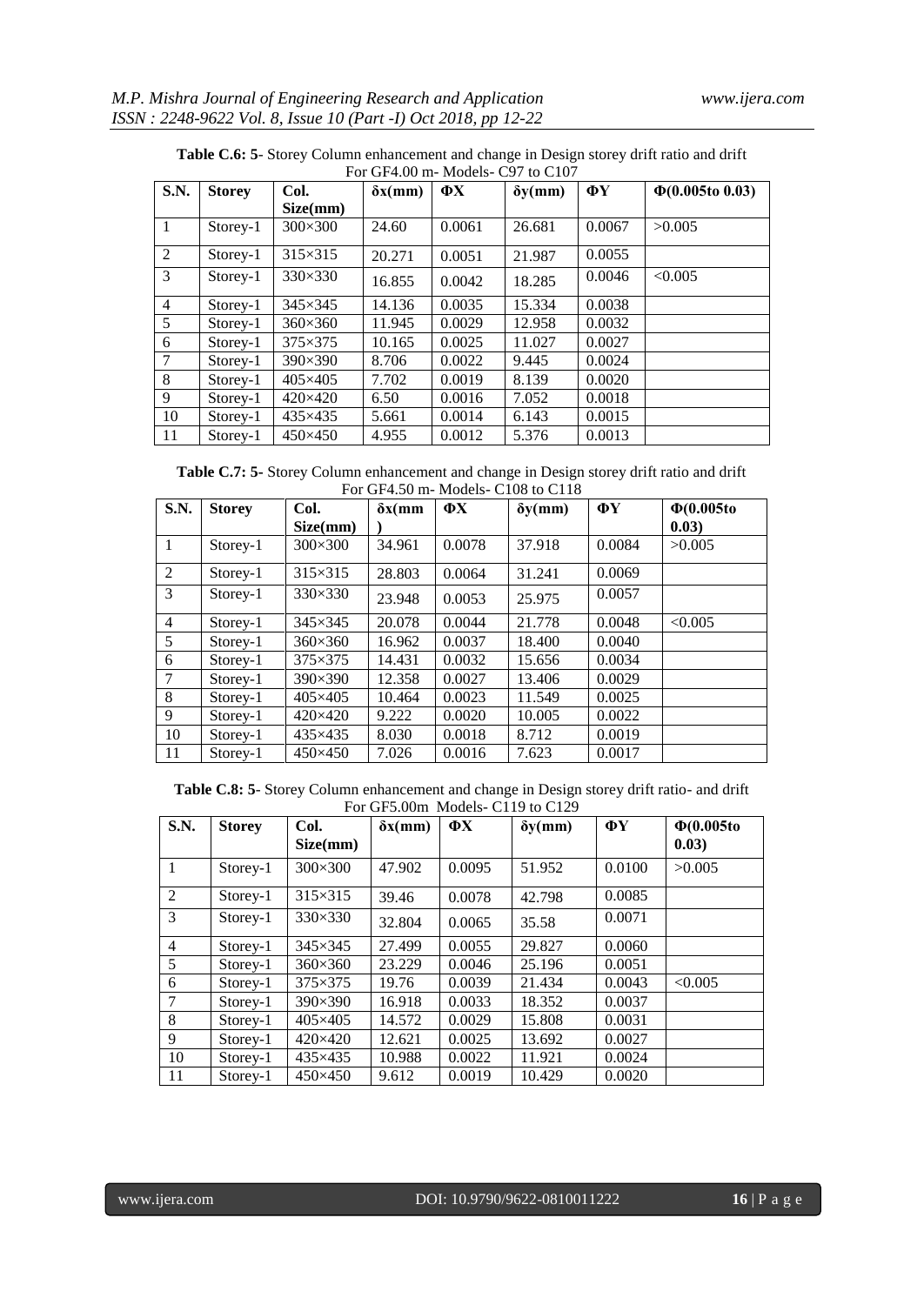|                | For GF4.00 m- Models- C97 to C107 |                 |                 |          |                 |        |                       |  |  |  |  |
|----------------|-----------------------------------|-----------------|-----------------|----------|-----------------|--------|-----------------------|--|--|--|--|
| S.N.           | <b>Storey</b>                     | Col.            | $\delta x$ (mm) | $\Phi$ X | $\delta y$ (mm) | ФY     | $\Phi(0.005$ to 0.03) |  |  |  |  |
|                |                                   | Size(mm)        |                 |          |                 |        |                       |  |  |  |  |
| $\mathbf{1}$   | Storey-1                          | $300\times300$  | 24.60           | 0.0061   | 26.681          | 0.0067 | >0.005                |  |  |  |  |
| 2              | Storey-1                          | $315\times315$  | 20.271          | 0.0051   | 21.987          | 0.0055 |                       |  |  |  |  |
| 3              | Storey-1                          | $330\times330$  | 16.855          | 0.0042   | 18.285          | 0.0046 | < 0.005               |  |  |  |  |
| $\overline{4}$ | Storey-1                          | $345\times345$  | 14.136          | 0.0035   | 15.334          | 0.0038 |                       |  |  |  |  |
| 5              | Storey-1                          | $360\times360$  | 11.945          | 0.0029   | 12.958          | 0.0032 |                       |  |  |  |  |
| 6              | Storey-1                          | $375\times375$  | 10.165          | 0.0025   | 11.027          | 0.0027 |                       |  |  |  |  |
| $\overline{7}$ | Storey-1                          | 390×390         | 8.706           | 0.0022   | 9.445           | 0.0024 |                       |  |  |  |  |
| 8              | Storey-1                          | 405×405         | 7.702           | 0.0019   | 8.139           | 0.0020 |                       |  |  |  |  |
| 9              | Storey-1                          | $420\times 420$ | 6.50            | 0.0016   | 7.052           | 0.0018 |                       |  |  |  |  |
| 10             | Storey-1                          | 435×435         | 5.661           | 0.0014   | 6.143           | 0.0015 |                       |  |  |  |  |
| 11             | Storey-1                          | $450\times450$  | 4.955           | 0.0012   | 5.376           | 0.0013 |                       |  |  |  |  |

**Table C.6: 5**- Storey Column enhancement and change in Design storey drift ratio and drift

**Table C.7: 5-** Storey Column enhancement and change in Design storey drift ratio and drift For GF4.50 m- Models- C108 to C118

| S.N.           | <b>Storey</b> | Col.            | $\delta x$ (mm | $\Phi$ X | $\delta y$ (mm) | ФY     | $\Phi(0.005$ to |
|----------------|---------------|-----------------|----------------|----------|-----------------|--------|-----------------|
|                |               | Size(mm)        |                |          |                 |        | 0.03)           |
| $\mathbf{1}$   | Storey-1      | $300\times300$  | 34.961         | 0.0078   | 37.918          | 0.0084 | >0.005          |
| 2              | Storey-1      | $315\times315$  | 28.803         | 0.0064   | 31.241          | 0.0069 |                 |
| 3              | Storey-1      | $330\times330$  | 23.948         | 0.0053   | 25.975          | 0.0057 |                 |
| $\overline{4}$ | Storey-1      | $345\times345$  | 20.078         | 0.0044   | 21.778          | 0.0048 | < 0.005         |
| 5              | Storey-1      | $360\times360$  | 16.962         | 0.0037   | 18.400          | 0.0040 |                 |
| 6              | Storey-1      | $375\times375$  | 14.431         | 0.0032   | 15.656          | 0.0034 |                 |
| $\overline{7}$ | Storey-1      | $390\times390$  | 12.358         | 0.0027   | 13.406          | 0.0029 |                 |
| 8              | Storey-1      | $405\times405$  | 10.464         | 0.0023   | 11.549          | 0.0025 |                 |
| 9              | Storey-1      | $420\times 420$ | 9.222          | 0.0020   | 10.005          | 0.0022 |                 |
| 10             | Storey-1      | 435×435         | 8.030          | 0.0018   | 8.712           | 0.0019 |                 |
| 11             | Storey-1      | $450\times450$  | 7.026          | 0.0016   | 7.623           | 0.0017 |                 |

**Table C.8: 5**- Storey Column enhancement and change in Design storey drift ratio- and drift For GF5.00m Models- C119 to C129

| S.N.           | <b>Storey</b> | Col.             | $\delta x$ (mm) | $\Phi$ X | $\delta y$ (mm) | ФY     | $\Phi(0.005t)$ |
|----------------|---------------|------------------|-----------------|----------|-----------------|--------|----------------|
|                |               | Size(mm)         |                 |          |                 |        | 0.03)          |
| $\mathbf{1}$   | Storey-1      | 300×300          | 47.902          | 0.0095   | 51.952          | 0.0100 | >0.005         |
| 2              | Storey-1      | $315\times315$   | 39.46           | 0.0078   | 42.798          | 0.0085 |                |
| 3              | Storey-1      | $330\times330$   | 32.804          | 0.0065   | 35.58           | 0.0071 |                |
| $\overline{4}$ | Storey-1      | $345\times345$   | 27.499          | 0.0055   | 29.827          | 0.0060 |                |
| 5              | Storey-1      | $360\times360$   | 23.229          | 0.0046   | 25.196          | 0.0051 |                |
| 6              | Storey-1      | $375 \times 375$ | 19.76           | 0.0039   | 21.434          | 0.0043 | < 0.005        |
| $\overline{7}$ | Storey-1      | 390×390          | 16.918          | 0.0033   | 18.352          | 0.0037 |                |
| 8              | Storey-1      | $405\times405$   | 14.572          | 0.0029   | 15.808          | 0.0031 |                |
| 9              | Storey-1      | 420×420          | 12.621          | 0.0025   | 13.692          | 0.0027 |                |
| 10             | Storey-1      | 435×435          | 10.988          | 0.0022   | 11.921          | 0.0024 |                |
| 11             | Storey-1      | $450\times450$   | 9.612           | 0.0019   | 10.429          | 0.0020 |                |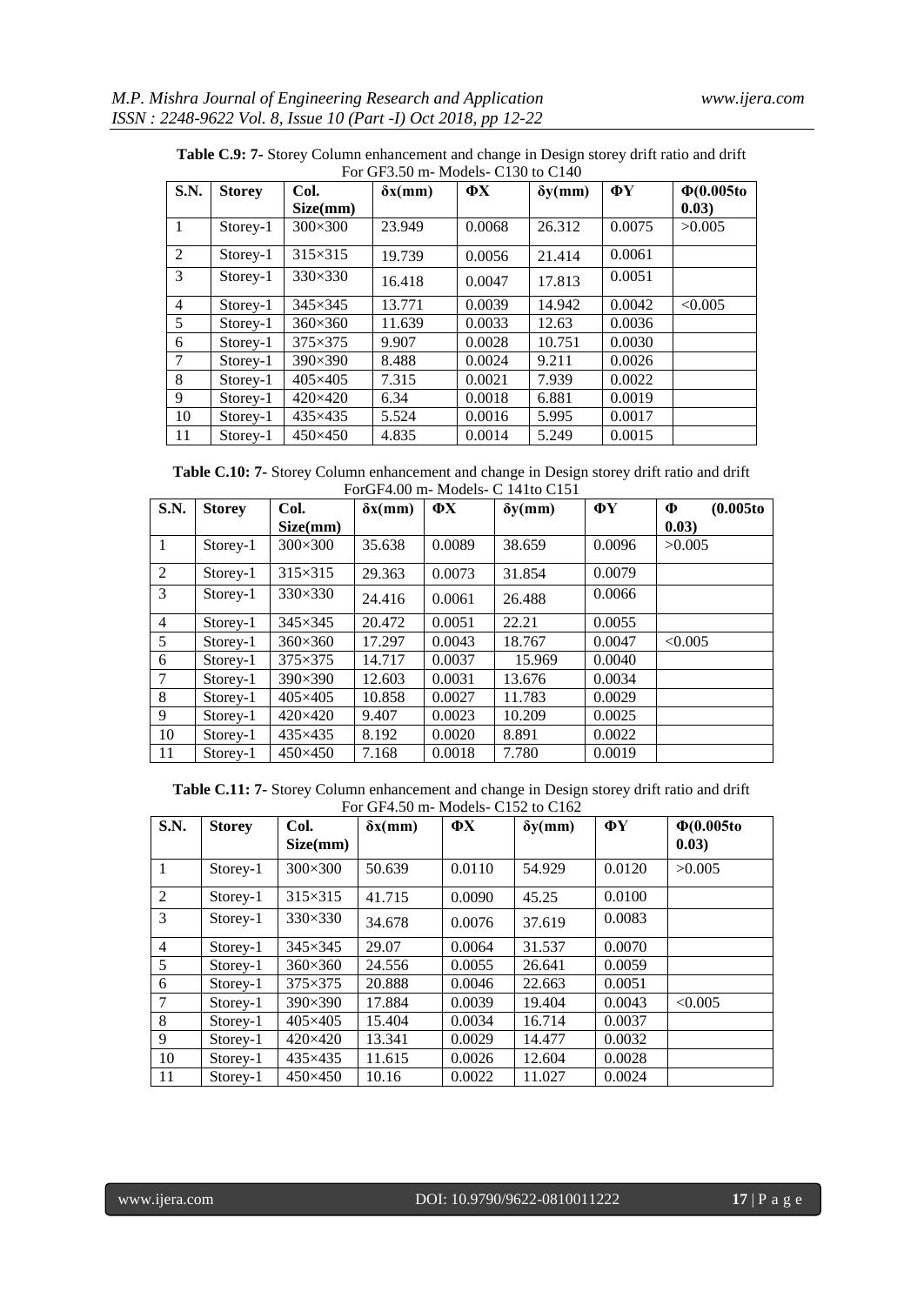| S.N.           | <b>Storey</b> | Col.            | $\delta x$ (mm) | $\Phi$ X | $\delta y$ (mm) | ΦY     | $\Phi(0.005$ to |
|----------------|---------------|-----------------|-----------------|----------|-----------------|--------|-----------------|
|                |               | Size(mm)        |                 |          |                 |        | (0.03)          |
| 1              | Storey-1      | $300\times300$  | 23.949          | 0.0068   | 26.312          | 0.0075 | >0.005          |
| 2              | Storey-1      | $315\times315$  | 19.739          | 0.0056   | 21.414          | 0.0061 |                 |
| 3              | Storey-1      | $330\times330$  | 16.418          | 0.0047   | 17.813          | 0.0051 |                 |
| $\overline{4}$ | Storey-1      | $345\times345$  | 13.771          | 0.0039   | 14.942          | 0.0042 | < 0.005         |
| 5              | Storey-1      | $360\times360$  | 11.639          | 0.0033   | 12.63           | 0.0036 |                 |
| 6              | Storey-1      | $375\times375$  | 9.907           | 0.0028   | 10.751          | 0.0030 |                 |
| $\tau$         | Storey-1      | $390\times390$  | 8.488           | 0.0024   | 9.211           | 0.0026 |                 |
| 8              | Storey-1      | $405\times405$  | 7.315           | 0.0021   | 7.939           | 0.0022 |                 |
| 9              | Storey-1      | $420\times 420$ | 6.34            | 0.0018   | 6.881           | 0.0019 |                 |
| 10             | Storey-1      | 435×435         | 5.524           | 0.0016   | 5.995           | 0.0017 |                 |
| 11             | Storey-1      | $450\times450$  | 4.835           | 0.0014   | 5.249           | 0.0015 |                 |

**Table C.9: 7-** Storey Column enhancement and change in Design storey drift ratio and drift

**Table C.10: 7-** Storey Column enhancement and change in Design storey drift ratio and drift ForGF4.00 m- Models- C 141to C151

| S.N.           | <b>Storey</b> | Col.           | $\delta x$ (mm) | $\Phi$ X | $\delta y$ (mm) | ФY     | (0.005 to<br>Ф |
|----------------|---------------|----------------|-----------------|----------|-----------------|--------|----------------|
|                |               | Size(mm)       |                 |          |                 |        | 0.03)          |
| $\mathbf{1}$   | Storey-1      | $300\times300$ | 35.638          | 0.0089   | 38.659          | 0.0096 | >0.005         |
| 2              | Storey-1      | $315\times315$ | 29.363          | 0.0073   | 31.854          | 0.0079 |                |
| 3              | Storey-1      | $330\times330$ | 24.416          | 0.0061   | 26.488          | 0.0066 |                |
| $\overline{4}$ | Storey-1      | $345\times345$ | 20.472          | 0.0051   | 22.21           | 0.0055 |                |
| 5              | Storey-1      | $360\times360$ | 17.297          | 0.0043   | 18.767          | 0.0047 | < 0.005        |
| 6              | Storey-1      | $375\times375$ | 14.717          | 0.0037   | 15.969          | 0.0040 |                |
| $\overline{7}$ | Storey-1      | 390×390        | 12.603          | 0.0031   | 13.676          | 0.0034 |                |
| 8              | Storey-1      | $405\times405$ | 10.858          | 0.0027   | 11.783          | 0.0029 |                |
| 9              | Storey-1      | $420\times420$ | 9.407           | 0.0023   | 10.209          | 0.0025 |                |
| 10             | Storey-1      | 435×435        | 8.192           | 0.0020   | 8.891           | 0.0022 |                |
| 11             | Storey-1      | $450\times450$ | 7.168           | 0.0018   | 7.780           | 0.0019 |                |

**Table C.11: 7-** Storey Column enhancement and change in Design storey drift ratio and drift For GF4.50 m- Models- C152 to C162

| S.N.           | <b>Storey</b> | Col.            | $\delta x$ (mm) | $\Phi$ X | $\delta y$ (mm) | ФY     | $\Phi(0.005t)$ |
|----------------|---------------|-----------------|-----------------|----------|-----------------|--------|----------------|
|                |               | Size(mm)        |                 |          |                 |        | (0.03)         |
| 1              | Storey-1      | 300×300         | 50.639          | 0.0110   | 54.929          | 0.0120 | >0.005         |
| 2              | Storey-1      | $315\times315$  | 41.715          | 0.0090   | 45.25           | 0.0100 |                |
| 3              | Storey-1      | $330\times330$  | 34.678          | 0.0076   | 37.619          | 0.0083 |                |
| $\overline{4}$ | Storey-1      | $345\times345$  | 29.07           | 0.0064   | 31.537          | 0.0070 |                |
| 5              | Storey-1      | $360\times360$  | 24.556          | 0.0055   | 26.641          | 0.0059 |                |
| 6              | Storey-1      | $375\times375$  | 20.888          | 0.0046   | 22.663          | 0.0051 |                |
| 7              | Storey-1      | $390\times390$  | 17.884          | 0.0039   | 19.404          | 0.0043 | < 0.005        |
| 8              | Storey-1      | $405\times405$  | 15.404          | 0.0034   | 16.714          | 0.0037 |                |
| 9              | Storey-1      | $420\times 420$ | 13.341          | 0.0029   | 14.477          | 0.0032 |                |
| 10             | Storey-1      | $435\times435$  | 11.615          | 0.0026   | 12.604          | 0.0028 |                |
| 11             | Storey-1      | $450\times450$  | 10.16           | 0.0022   | 11.027          | 0.0024 |                |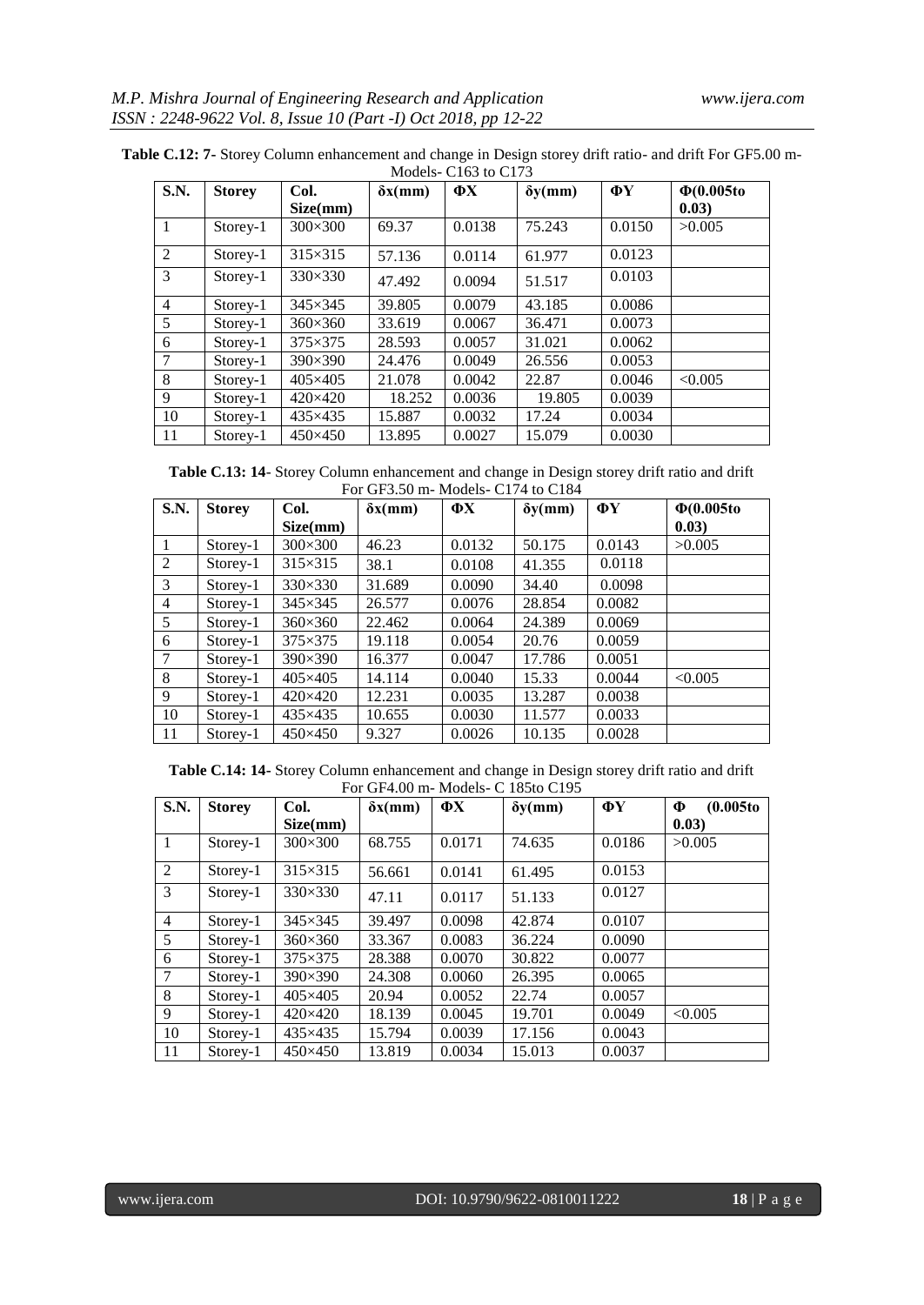| S.N.           | <b>Storey</b> | Col.            | $\delta x$ (mm) | $\Phi$ X | $\delta y$ (mm) | ФY     | $\Phi(0.005t)$ |
|----------------|---------------|-----------------|-----------------|----------|-----------------|--------|----------------|
|                |               | Size(mm)        |                 |          |                 |        | (0.03)         |
|                | Storey-1      | $300\times300$  | 69.37           | 0.0138   | 75.243          | 0.0150 | >0.005         |
| 2              | Storey-1      | 315×315         | 57.136          | 0.0114   | 61.977          | 0.0123 |                |
| 3              | Storey-1      | $330\times330$  | 47.492          | 0.0094   | 51.517          | 0.0103 |                |
| $\overline{4}$ | Storey-1      | 345×345         | 39.805          | 0.0079   | 43.185          | 0.0086 |                |
| 5              | Storey-1      | $360\times360$  | 33.619          | 0.0067   | 36.471          | 0.0073 |                |
| 6              | Storey-1      | 375×375         | 28.593          | 0.0057   | 31.021          | 0.0062 |                |
| 7              | Storey-1      | $390\times390$  | 24.476          | 0.0049   | 26.556          | 0.0053 |                |
| 8              | Storey-1      | 405×405         | 21.078          | 0.0042   | 22.87           | 0.0046 | < 0.005        |
| 9              | Storey-1      | $420\times 420$ | 18.252          | 0.0036   | 19.805          | 0.0039 |                |
| 10             | Storey-1      | 435×435         | 15.887          | 0.0032   | 17.24           | 0.0034 |                |
| 11             | Storey-1      | 450×450         | 13.895          | 0.0027   | 15.079          | 0.0030 |                |

**Table C.12: 7-** Storey Column enhancement and change in Design storey drift ratio- and drift For GF5.00 m-Models-C<sub>163</sub> to C<sub>173</sub>

**Table C.13: 14**- Storey Column enhancement and change in Design storey drift ratio and drift For GF3.50 m- Models- C174 to C184

| S.N.           | <b>Storey</b> | Col.           | $\delta x$ (mm) | $\Phi$ X | $\delta y$ (mm) | ФY     | $\Phi(0.005t)$ |
|----------------|---------------|----------------|-----------------|----------|-----------------|--------|----------------|
|                |               | Size(mm)       |                 |          |                 |        | 0.03)          |
|                | Storey-1      | $300\times300$ | 46.23           | 0.0132   | 50.175          | 0.0143 | >0.005         |
| 2              | Storey-1      | $315\times315$ | 38.1            | 0.0108   | 41.355          | 0.0118 |                |
| 3              | Storey-1      | 330×330        | 31.689          | 0.0090   | 34.40           | 0.0098 |                |
| $\overline{4}$ | Storey-1      | $345\times345$ | 26.577          | 0.0076   | 28.854          | 0.0082 |                |
| 5              | Storey-1      | $360\times360$ | 22.462          | 0.0064   | 24.389          | 0.0069 |                |
| 6              | Storey-1      | $375\times375$ | 19.118          | 0.0054   | 20.76           | 0.0059 |                |
| 7              | Storey-1      | 390×390        | 16.377          | 0.0047   | 17.786          | 0.0051 |                |
| 8              | Storey-1      | 405×405        | 14.114          | 0.0040   | 15.33           | 0.0044 | < 0.005        |
| 9              | $Storey-1$    | 420×420        | 12.231          | 0.0035   | 13.287          | 0.0038 |                |
| 10             | Storey-1      | 435×435        | 10.655          | 0.0030   | 11.577          | 0.0033 |                |
| 11             | Storey-1      | $450\times450$ | 9.327           | 0.0026   | 10.135          | 0.0028 |                |

**Table C.14: 14-** Storey Column enhancement and change in Design storey drift ratio and drift For GF4.00 m- Models- C 185to C195

| S.N.           | <b>Storey</b> | Col.            | $\delta x$ (mm) | ФX     | $\delta y$ (mm) | ФY     | (0.005 to<br>Ф |
|----------------|---------------|-----------------|-----------------|--------|-----------------|--------|----------------|
|                |               | Size(mm)        |                 |        |                 |        | (0.03)         |
| $\mathbf{1}$   | Storey-1      | $300\times300$  | 68.755          | 0.0171 | 74.635          | 0.0186 | >0.005         |
| 2              | Storey-1      | $315\times315$  | 56.661          | 0.0141 | 61.495          | 0.0153 |                |
| 3              | Storey-1      | $330\times330$  | 47.11           | 0.0117 | 51.133          | 0.0127 |                |
| $\overline{4}$ | Storey-1      | $345\times345$  | 39.497          | 0.0098 | 42.874          | 0.0107 |                |
| 5              | Storey-1      | $360\times360$  | 33.367          | 0.0083 | 36.224          | 0.0090 |                |
| 6              | Storey-1      | $375\times375$  | 28.388          | 0.0070 | 30.822          | 0.0077 |                |
| $\overline{7}$ | Storey-1      | $390\times390$  | 24.308          | 0.0060 | 26.395          | 0.0065 |                |
| 8              | Storey-1      | $405\times405$  | 20.94           | 0.0052 | 22.74           | 0.0057 |                |
| 9              | Storey-1      | $420\times 420$ | 18.139          | 0.0045 | 19.701          | 0.0049 | < 0.005        |
| 10             | Storey-1      | 435×435         | 15.794          | 0.0039 | 17.156          | 0.0043 |                |
| 11             | Storey-1      | $450\times450$  | 13.819          | 0.0034 | 15.013          | 0.0037 |                |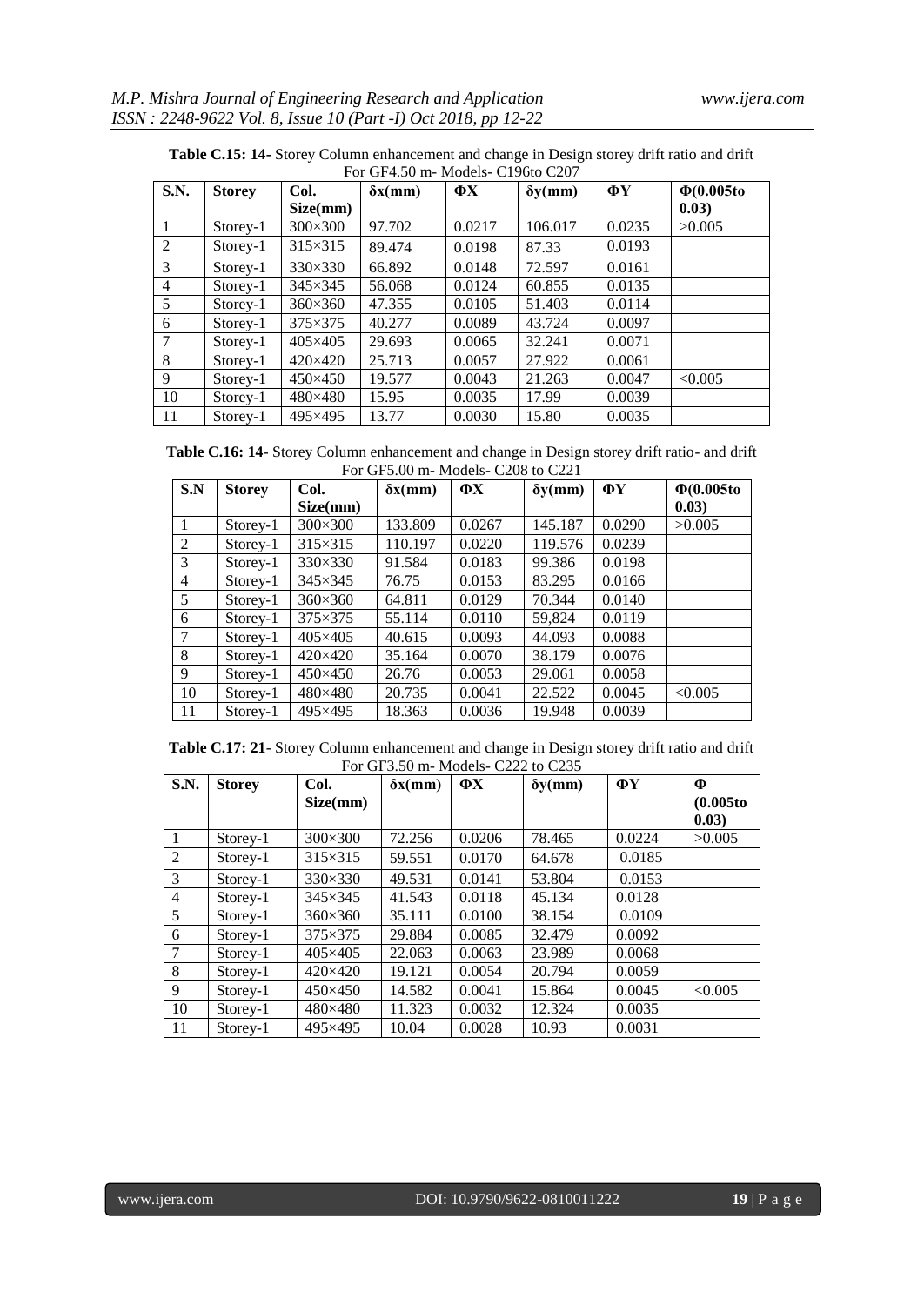| S.N. | <b>Storey</b> | Col.            | $\delta x$ (mm) | $\Phi$ X | $\delta y$ (mm) | ΦY     | $\Phi(0.005t)$ |
|------|---------------|-----------------|-----------------|----------|-----------------|--------|----------------|
|      |               | Size(mm)        |                 |          |                 |        | 0.03)          |
|      | Storey-1      | $300\times300$  | 97.702          | 0.0217   | 106.017         | 0.0235 | >0.005         |
| 2    | Storey-1      | $315\times315$  | 89.474          | 0.0198   | 87.33           | 0.0193 |                |
| 3    | Storey-1      | $330\times330$  | 66.892          | 0.0148   | 72.597          | 0.0161 |                |
| 4    | Storey-1      | $345\times345$  | 56.068          | 0.0124   | 60.855          | 0.0135 |                |
| 5    | Storey-1      | $360\times360$  | 47.355          | 0.0105   | 51.403          | 0.0114 |                |
| 6    | Storey-1      | $375\times375$  | 40.277          | 0.0089   | 43.724          | 0.0097 |                |
| 7    | Storey-1      | $405\times405$  | 29.693          | 0.0065   | 32.241          | 0.0071 |                |
| 8    | Storey-1      | $420\times 420$ | 25.713          | 0.0057   | 27.922          | 0.0061 |                |
| 9    | Storey-1      | $450\times450$  | 19.577          | 0.0043   | 21.263          | 0.0047 | < 0.005        |
| 10   | Storey-1      | 480×480         | 15.95           | 0.0035   | 17.99           | 0.0039 |                |
| 11   | Storey-1      | 495×495         | 13.77           | 0.0030   | 15.80           | 0.0035 |                |

Table C.15: 14- Storey Column enhancement and change in Design storey drift ratio and drift

**Table C.16: 14**- Storey Column enhancement and change in Design storey drift ratio- and drift For GF5.00 m- Models- C208 to C221

| S.N             | <b>Storey</b> | Col.            | $\delta x$ (mm) | ФX     | $\delta y$ (mm) | ФY     | $\Phi(0.005$ to |
|-----------------|---------------|-----------------|-----------------|--------|-----------------|--------|-----------------|
|                 |               | Size(mm)        |                 |        |                 |        | 0.03)           |
| 1               | Storey-1      | $300\times300$  | 133.809         | 0.0267 | 145.187         | 0.0290 | >0.005          |
| 2               | Storey-1      | $315\times315$  | 110.197         | 0.0220 | 119.576         | 0.0239 |                 |
| 3               | Storey-1      | 330×330         | 91.584          | 0.0183 | 99.386          | 0.0198 |                 |
| $\overline{4}$  | Storey-1      | $345\times345$  | 76.75           | 0.0153 | 83.295          | 0.0166 |                 |
| $5\overline{)}$ | Storey-1      | $360\times360$  | 64.811          | 0.0129 | 70.344          | 0.0140 |                 |
| 6               | Storey-1      | $375\times375$  | 55.114          | 0.0110 | 59,824          | 0.0119 |                 |
| 7               | Storey-1      | $405\times405$  | 40.615          | 0.0093 | 44.093          | 0.0088 |                 |
| 8               | Storey-1      | $420\times 420$ | 35.164          | 0.0070 | 38.179          | 0.0076 |                 |
| 9               | Storey-1      | $450\times450$  | 26.76           | 0.0053 | 29.061          | 0.0058 |                 |
| 10              | Storey-1      | 480×480         | 20.735          | 0.0041 | 22.522          | 0.0045 | < 0.005         |
| 11              | Storey-1      | 495×495         | 18.363          | 0.0036 | 19.948          | 0.0039 |                 |

**Table C.17: 21**- Storey Column enhancement and change in Design storey drift ratio and drift For GF3.50 m- Models- C222 to C235

| S.N.         | <b>Storey</b> | Col.            | $\delta x$ (mm) | ФX     | $\delta y$ (mm) | ФY     | Ф                   |
|--------------|---------------|-----------------|-----------------|--------|-----------------|--------|---------------------|
|              |               | Size(mm)        |                 |        |                 |        | (0.005 to<br>(0.03) |
| $\mathbf{1}$ | Storey-1      | 300×300         | 72.256          | 0.0206 | 78.465          | 0.0224 | >0.005              |
| 2            | Storey-1      | 315×315         | 59.551          | 0.0170 | 64.678          | 0.0185 |                     |
| 3            | Storey-1      | 330×330         | 49.531          | 0.0141 | 53.804          | 0.0153 |                     |
| 4            | Storey-1      | $345\times345$  | 41.543          | 0.0118 | 45.134          | 0.0128 |                     |
| 5            | Storey-1      | $360\times360$  | 35.111          | 0.0100 | 38.154          | 0.0109 |                     |
| 6            | Storey-1      | 375×375         | 29.884          | 0.0085 | 32.479          | 0.0092 |                     |
| 7            | Storey-1      | $405\times405$  | 22.063          | 0.0063 | 23.989          | 0.0068 |                     |
| 8            | Storey-1      | $420\times 420$ | 19.121          | 0.0054 | 20.794          | 0.0059 |                     |
| 9            | Storey-1      | $450\times450$  | 14.582          | 0.0041 | 15.864          | 0.0045 | < 0.005             |
| 10           | $Storey-1$    | 480×480         | 11.323          | 0.0032 | 12.324          | 0.0035 |                     |
| 11           | Storey-1      | 495×495         | 10.04           | 0.0028 | 10.93           | 0.0031 |                     |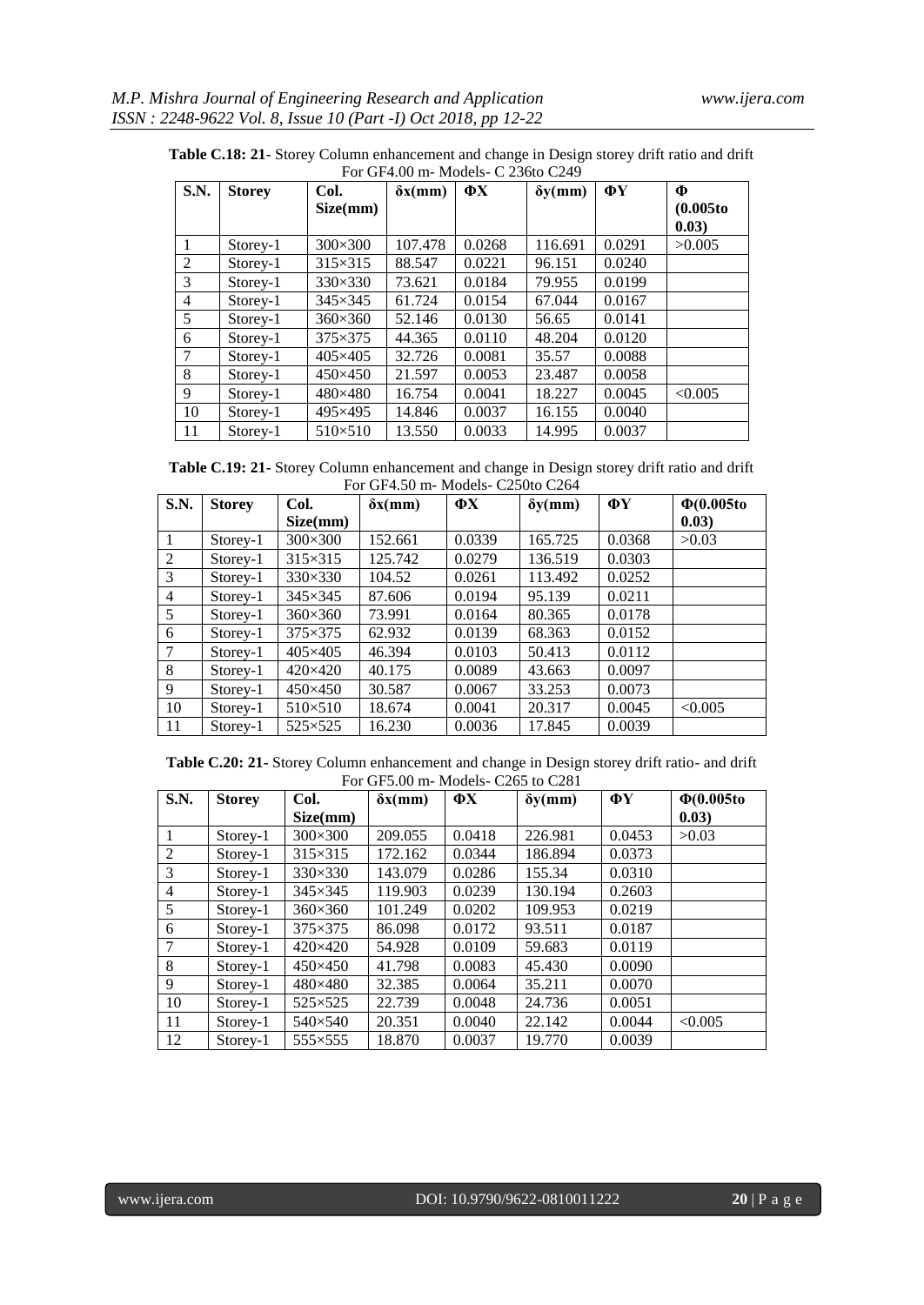| <b>S.N.</b>    | <b>Storey</b><br>Col. |                | $\delta x$ (mm) | $\Phi$ X | $\delta y$ (mm) | ФY     | Ф                  |
|----------------|-----------------------|----------------|-----------------|----------|-----------------|--------|--------------------|
|                |                       | Size(mm)       |                 |          |                 |        | (0.005 to<br>0.03) |
| 1              | Storey-1              | $300\times300$ | 107.478         | 0.0268   | 116.691         | 0.0291 | >0.005             |
| $\overline{2}$ | Storey-1              | $315\times315$ | 88.547          | 0.0221   | 96.151          | 0.0240 |                    |
| 3              | Storey-1              | $330\times330$ | 73.621          | 0.0184   | 79.955          | 0.0199 |                    |
| $\overline{4}$ | Storey-1              | $345\times345$ | 61.724          | 0.0154   | 67.044          | 0.0167 |                    |
| 5              | Storey-1              | $360\times360$ | 52.146          | 0.0130   | 56.65           | 0.0141 |                    |
| 6              | Storey-1              | $375\times375$ | 44.365          | 0.0110   | 48.204          | 0.0120 |                    |
| 7              | Storey-1              | 405×405        | 32.726          | 0.0081   | 35.57           | 0.0088 |                    |
| 8              | Storey-1              | $450\times450$ | 21.597          | 0.0053   | 23.487          | 0.0058 |                    |
| 9              | Storey-1              | 480×480        | 16.754          | 0.0041   | 18.227          | 0.0045 | < 0.005            |
| 10             | Storey-1              | 495×495        | 14.846          | 0.0037   | 16.155          | 0.0040 |                    |
| 11             | Storey-1              | $510\times510$ | 13.550          | 0.0033   | 14.995          | 0.0037 |                    |

**Table C.18: 21**- Storey Column enhancement and change in Design storey drift ratio and drift

**Table C.19: 21-** Storey Column enhancement and change in Design storey drift ratio and drift For GF4.50 m- Models- C250to C264

| S.N. | <b>Storey</b> | Col.             | $\delta x$ (mm) | $\mathbf{\Phi} \mathbf{X}$ | $\delta y$ (mm) | ФY     | $\Phi(0.005t)$ |
|------|---------------|------------------|-----------------|----------------------------|-----------------|--------|----------------|
|      |               | Size(mm)         |                 |                            |                 |        | (0.03)         |
|      | Storey-1      | $300\times300$   | 152.661         | 0.0339                     | 165.725         | 0.0368 | >0.03          |
| 2    | Storey-1      | 315×315          | 125.742         | 0.0279                     | 136.519         | 0.0303 |                |
| 3    | Storey-1      | $330\times330$   | 104.52          | 0.0261                     | 113.492         | 0.0252 |                |
| 4    | Storey-1      | $345\times345$   | 87.606          | 0.0194                     | 95.139          | 0.0211 |                |
| 5    | Storey-1      | $360\times360$   | 73.991          | 0.0164                     | 80.365          | 0.0178 |                |
| 6    | Storey-1      | $375\times375$   | 62.932          | 0.0139                     | 68.363          | 0.0152 |                |
| 7    | Storey-1      | $405\times405$   | 46.394          | 0.0103                     | 50.413          | 0.0112 |                |
| 8    | Storey-1      | $420\times 420$  | 40.175          | 0.0089                     | 43.663          | 0.0097 |                |
| 9    | Storey-1      | $450\times450$   | 30.587          | 0.0067                     | 33.253          | 0.0073 |                |
| 10   | Storey-1      | $510\times510$   | 18.674          | 0.0041                     | 20.317          | 0.0045 | < 0.005        |
| 11   | Storey-1      | $525 \times 525$ | 16.230          | 0.0036                     | 17.845          | 0.0039 |                |

**Table C.20: 21-** Storey Column enhancement and change in Design storey drift ratio- and drift For GF5.00 m- Models- C265 to C281

| S.N.           | <b>Storey</b> | Col.             | $\delta x$ (mm) | $\mathbf{\Phi} \mathbf{X}$ | $\delta y$ (mm) | $\Phi$ Y | $\Phi(0.005t)$ |
|----------------|---------------|------------------|-----------------|----------------------------|-----------------|----------|----------------|
|                |               | Size(mm)         |                 |                            |                 |          | 0.03)          |
|                | Storey-1      | $300\times300$   | 209.055         | 0.0418                     | 226.981         | 0.0453   | >0.03          |
| 2              | Storey-1      | $315\times315$   | 172.162         | 0.0344                     | 186.894         | 0.0373   |                |
| 3              | Storey-1      | $330\times330$   | 143.079         | 0.0286                     | 155.34          | 0.0310   |                |
| $\overline{4}$ | Storey-1      | $345\times345$   | 119.903         | 0.0239                     | 130.194         | 0.2603   |                |
| 5              | Storey-1      | $360\times360$   | 101.249         | 0.0202                     | 109.953         | 0.0219   |                |
| 6              | Storey-1      | $375\times375$   | 86.098          | 0.0172                     | 93.511          | 0.0187   |                |
| 7              | Storey-1      | $420\times 420$  | 54.928          | 0.0109                     | 59.683          | 0.0119   |                |
| 8              | Storey-1      | $450\times450$   | 41.798          | 0.0083                     | 45.430          | 0.0090   |                |
| 9              | Storey-1      | 480×480          | 32.385          | 0.0064                     | 35.211          | 0.0070   |                |
| 10             | Storey-1      | $525 \times 525$ | 22.739          | 0.0048                     | 24.736          | 0.0051   |                |
| 11             | Storey-1      | $540\times540$   | 20.351          | 0.0040                     | 22.142          | 0.0044   | < 0.005        |
| 12             | Storey-1      | 555×555          | 18.870          | 0.0037                     | 19.770          | 0.0039   |                |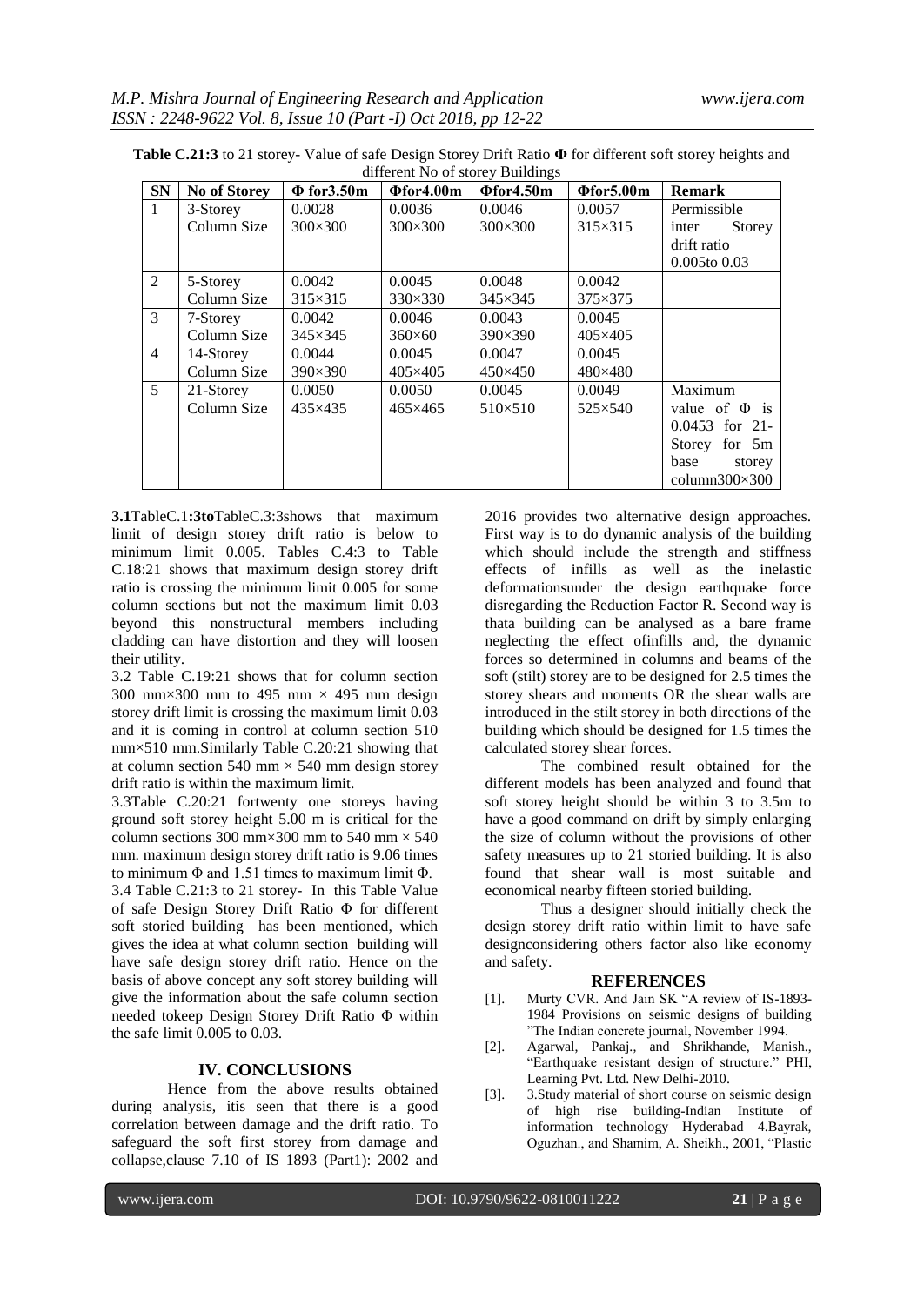| <b>SN</b>      | No of Storey | $\Phi$ for 3.50 m | $\Phi$ for4.00m | $\Phi$ for4.50m | $\Phi$ for5.00m | <b>Remark</b>         |
|----------------|--------------|-------------------|-----------------|-----------------|-----------------|-----------------------|
| $\mathbf{1}$   | 3-Storey     | 0.0028            | 0.0036          | 0.0046          | 0.0057          | Permissible           |
|                | Column Size  | $300\times300$    | $300\times300$  | $300\times300$  | $315\times315$  | Storey<br>inter       |
|                |              |                   |                 |                 |                 | drift ratio           |
|                |              |                   |                 |                 |                 | $0.005$ to $0.03$     |
| 2              | 5-Storey     | 0.0042            | 0.0045          | 0.0048          | 0.0042          |                       |
|                | Column Size  | $315\times315$    | $330\times330$  | $345\times345$  | 375×375         |                       |
| 3              | 7-Storey     | 0.0042            | 0.0046          | 0.0043          | 0.0045          |                       |
|                | Column Size  | $345\times345$    | $360\times 60$  | $390\times390$  | 405×405         |                       |
| $\overline{4}$ | 14-Storey    | 0.0044            | 0.0045          | 0.0047          | 0.0045          |                       |
|                | Column Size  | $390\times390$    | $405\times405$  | $450\times450$  | 480×480         |                       |
| 5              | 21-Storey    | 0.0050            | 0.0050          | 0.0045          | 0.0049          | Maximum               |
|                | Column Size  | $435\times435$    | $465\times465$  | $510\times510$  | $525\times540$  | value of $\Phi$ is    |
|                |              |                   |                 |                 |                 | $0.0453$ for 21-      |
|                |              |                   |                 |                 |                 | Storey for 5m         |
|                |              |                   |                 |                 |                 | base<br>storey        |
|                |              |                   |                 |                 |                 | column $300\times300$ |

**Table C.21:3** to 21 storey- Value of safe Design Storey Drift Ratio **Φ** for different soft storey heights and different No of storey Buildings

**3.1**TableC.1**:3to**TableC.3:3shows that maximum limit of design storey drift ratio is below to minimum limit 0.005. Tables C.4:3 to Table C.18:21 shows that maximum design storey drift ratio is crossing the minimum limit 0.005 for some column sections but not the maximum limit 0.03 beyond this nonstructural members including cladding can have distortion and they will loosen their utility.

3.2 Table C.19:21 shows that for column section 300 mm $\times$ 300 mm to 495 mm  $\times$  495 mm design storey drift limit is crossing the maximum limit 0.03 and it is coming in control at column section 510 mm×510 mm.Similarly Table C.20:21 showing that at column section 540 mm  $\times$  540 mm design storey drift ratio is within the maximum limit.

3.3Table C.20:21 fortwenty one storeys having ground soft storey height 5.00 m is critical for the column sections 300 mm×300 mm to 540 mm  $\times$  540 mm. maximum design storey drift ratio is 9.06 times to minimum  $\Phi$  and 1.51 times to maximum limit  $\Phi$ .

3.4 Table C.21:3 to 21 storey- In this Table Value of safe Design Storey Drift Ratio Φ for different soft storied building has been mentioned, which gives the idea at what column section building will have safe design storey drift ratio. Hence on the basis of above concept any soft storey building will give the information about the safe column section needed tokeep Design Storey Drift Ratio Φ within the safe limit 0.005 to 0.03.

### **IV. CONCLUSIONS**

Hence from the above results obtained during analysis, itis seen that there is a good correlation between damage and the drift ratio. To safeguard the soft first storey from damage and collapse,clause 7.10 of IS 1893 (Part1): 2002 and

2016 provides two alternative design approaches. First way is to do dynamic analysis of the building which should include the strength and stiffness effects of infills as well as the inelastic deformationsunder the design earthquake force disregarding the Reduction Factor R. Second way is thata building can be analysed as a bare frame neglecting the effect ofinfills and, the dynamic forces so determined in columns and beams of the soft (stilt) storey are to be designed for 2.5 times the storey shears and moments OR the shear walls are introduced in the stilt storey in both directions of the building which should be designed for 1.5 times the calculated storey shear forces.

The combined result obtained for the different models has been analyzed and found that soft storey height should be within 3 to 3.5m to have a good command on drift by simply enlarging the size of column without the provisions of other safety measures up to 21 storied building. It is also found that shear wall is most suitable and economical nearby fifteen storied building.

Thus a designer should initially check the design storey drift ratio within limit to have safe designconsidering others factor also like economy and safety.

#### **REFERENCES**

- [1]. Murty CVR. And Jain SK "A review of IS-1893- 1984 Provisions on seismic designs of building "The Indian concrete journal, November 1994.
- [2]. Agarwal, Pankaj., and Shrikhande, Manish., "Earthquake resistant design of structure." PHI, Learning Pvt. Ltd. New Delhi-2010.
- [3]. 3.Study material of short course on seismic design of high rise building-Indian Institute of information technology Hyderabad 4.Bayrak, Oguzhan., and Shamim, A. Sheikh., 2001, "Plastic